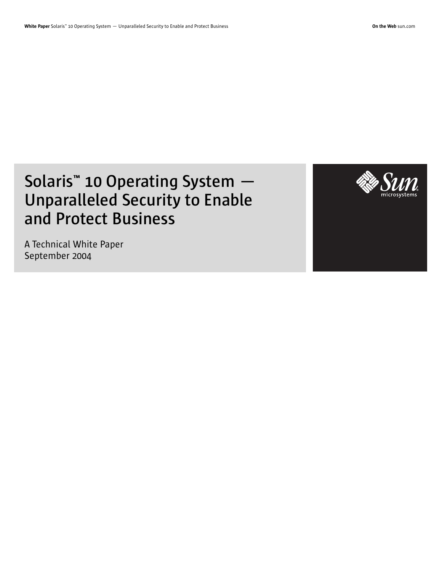# **Solaris™ 10 Operating System — Unparalleled Security to Enable and Protect Business**

A Technical White Paper September 2004

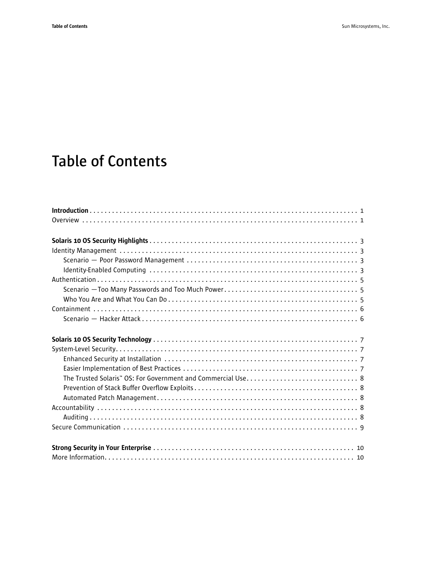# **Table of Contents**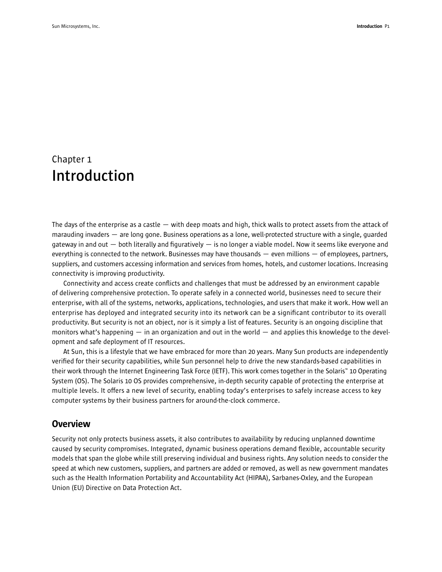## Chapter 1 **Introduction**

The days of the enterprise as a castle  $-$  with deep moats and high, thick walls to protect assets from the attack of marauding invaders — are long gone. Business operations as a lone, well-protected structure with a single, guarded gateway in and out  $-$  both literally and figuratively  $-$  is no longer a viable model. Now it seems like everyone and everything is connected to the network. Businesses may have thousands  $-$  even millions  $-$  of employees, partners, suppliers, and customers accessing information and services from homes, hotels, and customer locations. Increasing connectivity is improving productivity.

Connectivity and access create conflicts and challenges that must be addressed by an environment capable of delivering comprehensive protection. To operate safely in a connected world, businesses need to secure their enterprise, with all of the systems, networks, applications, technologies, and users that make it work. How well an enterprise has deployed and integrated security into its network can be a significant contributor to its overall productivity. But security is not an object, nor is it simply a list of features. Security is an ongoing discipline that monitors what's happening — in an organization and out in the world — and applies this knowledge to the development and safe deployment of IT resources.

At Sun, this is a lifestyle that we have embraced for more than 20 years. Many Sun products are independently verified for their security capabilities, while Sun personnel help to drive the new standards-based capabilities in their work through the Internet Engineering Task Force (IETF). This work comes together in the Solaris™ 10 Operating System (OS). The Solaris 10 OS provides comprehensive, in-depth security capable of protecting the enterprise at multiple levels. It offers a new level of security, enabling today's enterprises to safely increase access to key computer systems by their business partners for around-the-clock commerce.

## **Overview**

Security not only protects business assets, it also contributes to availability by reducing unplanned downtime caused by security compromises. Integrated, dynamic business operations demand flexible, accountable security models that span the globe while still preserving individual and business rights. Any solution needs to consider the speed at which new customers, suppliers, and partners are added or removed, as well as new government mandates such as the Health Information Portability and Accountability Act (HIPAA), Sarbanes-Oxley, and the European Union (EU) Directive on Data Protection Act.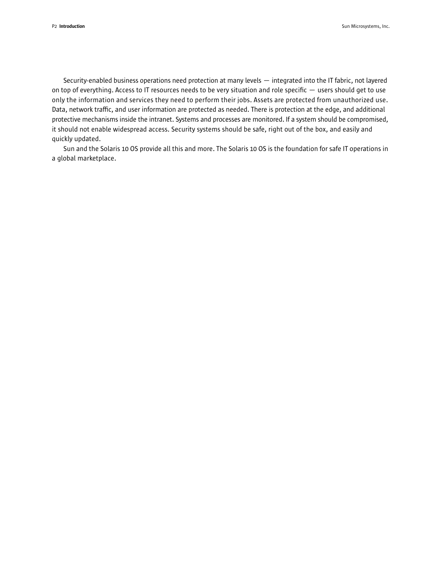Security-enabled business operations need protection at many levels — integrated into the IT fabric, not layered on top of everything. Access to IT resources needs to be very situation and role specific — users should get to use only the information and services they need to perform their jobs. Assets are protected from unauthorized use. Data, network traffic, and user information are protected as needed. There is protection at the edge, and additional protective mechanisms inside the intranet. Systems and processes are monitored. If a system should be compromised, it should not enable widespread access. Security systems should be safe, right out of the box, and easily and quickly updated.

Sun and the Solaris 10 OS provide all this and more. The Solaris 10 OS is the foundation for safe IT operations in a global marketplace.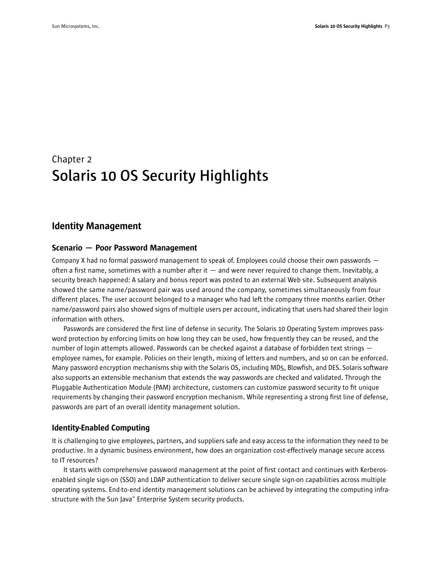## Chapter 2 **Solaris 10 OS Security Highlights**

## Identity Management

#### Scenario — Poor Password Management

Company X had no formal password management to speak of. Employees could choose their own passwords often a first name, sometimes with a number after it  $-$  and were never required to change them. Inevitably, a security breach happened: A salary and bonus report was posted to an external Web site. Subsequent analysis showed the same name/password pair was used around the company, sometimes simultaneously from four different places. The user account belonged to a manager who had left the company three months earlier. Other name/password pairs also showed signs of multiple users per account, indicating that users had shared their login information with others.

Passwords are considered the first line of defense in security. The Solaris 10 Operating System improves password protection by enforcing limits on how long they can be used, how frequently they can be reused, and the number of login attempts allowed. Passwords can be checked against a database of forbidden text strings employee names, for example. Policies on their length, mixing of letters and numbers, and so on can be enforced. Many password encryption mechanisms ship with the Solaris OS, including MD5, Blowfish, and DES. Solaris software also supports an extensible mechanism that extends the way passwords are checked and validated. Through the Pluggable Authentication Module (PAM) architecture, customers can customize password security to fit unique requirements by changing their password encryption mechanism. While representing a strong first line of defense, passwords are part of an overall identity management solution.

#### Identity-Enabled Computing

It is challenging to give employees, partners, and suppliers safe and easy access to the information they need to be productive. In a dynamic business environment, how does an organization cost-effectively manage secure access to IT resources?

It starts with comprehensive password management at the point of first contact and continues with Kerberosenabled single sign-on (SSO) and LDAP authentication to deliver secure single sign-on capabilities across multiple operating systems. End-to-end identity management solutions can be achieved by integrating the computing infrastructure with the Sun Java™ Enterprise System security products.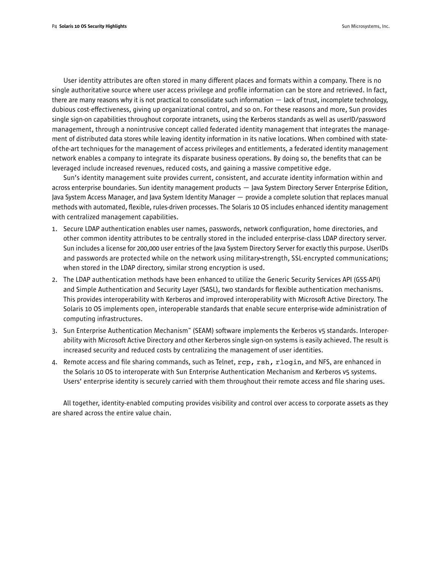User identity attributes are often stored in many different places and formats within a company. There is no single authoritative source where user access privilege and profile information can be store and retrieved. In fact, there are many reasons why it is not practical to consolidate such information  $-$  lack of trust, incomplete technology, dubious cost-effectiveness, giving up organizational control, and so on. For these reasons and more, Sun provides single sign-on capabilities throughout corporate intranets, using the Kerberos standards as well as userID/password management, through a nonintrusive concept called federated identity management that integrates the management of distributed data stores while leaving identity information in its native locations. When combined with stateof-the-art techniques for the management of access privileges and entitlements, a federated identity management network enables a company to integrate its disparate business operations. By doing so, the benefits that can be leveraged include increased revenues, reduced costs, and gaining a massive competitive edge.

Sun's identity management suite provides current, consistent, and accurate identity information within and across enterprise boundaries. Sun identity management products — Java System Directory Server Enterprise Edition, Java System Access Manager, and Java System Identity Manager — provide a complete solution that replaces manual methods with automated, flexible, rules-driven processes. The Solaris 10 OS includes enhanced identity management with centralized management capabilities.

- 1. Secure LDAP authentication enables user names, passwords, network configuration, home directories, and other common identity attributes to be centrally stored in the included enterprise-class LDAP directory server. Sun includes a license for 200,000 user entries of the Java System Directory Server for exactly this purpose. UserIDs and passwords are protected while on the network using military-strength, SSL-encrypted communications; when stored in the LDAP directory, similar strong encryption is used.
- 2. The LDAP authentication methods have been enhanced to utilize the Generic Security Services API (GSS-API) and Simple Authentication and Security Layer (SASL), two standards for flexible authentication mechanisms. This provides interoperability with Kerberos and improved interoperability with Microsoft Active Directory. The Solaris 10 OS implements open, interoperable standards that enable secure enterprise-wide administration of computing infrastructures.
- 3. Sun Enterprise Authentication Mechanism™ (SEAM) software implements the Kerberos v5 standards. Interoperability with Microsoft Active Directory and other Kerberos single sign-on systems is easily achieved. The result is increased security and reduced costs by centralizing the management of user identities.
- 4. Remote access and file sharing commands, such as Telnet, rcp, rsh, rlogin, and NFS, are enhanced in the Solaris 10 OS to interoperate with Sun Enterprise Authentication Mechanism and Kerberos v5 systems. Users' enterprise identity is securely carried with them throughout their remote access and file sharing uses.

All together, identity-enabled computing provides visibility and control over access to corporate assets as they are shared across the entire value chain.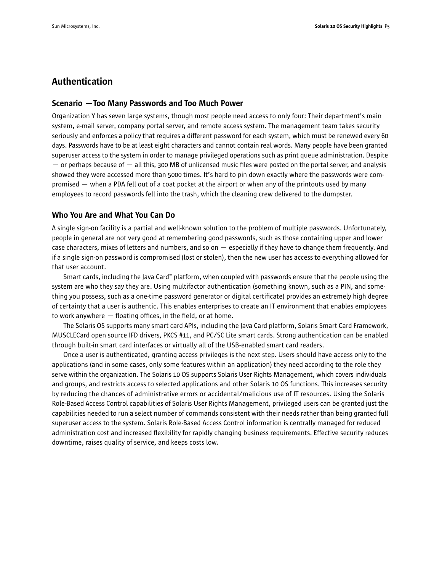## Authentication

#### Scenario —Too Many Passwords and Too Much Power

Organization Y has seven large systems, though most people need access to only four: Their department's main system, e-mail server, company portal server, and remote access system. The management team takes security seriously and enforces a policy that requires a different password for each system, which must be renewed every 60 days. Passwords have to be at least eight characters and cannot contain real words. Many people have been granted superuser access to the system in order to manage privileged operations such as print queue administration. Despite  $-$  or perhaps because of  $-$  all this, 300 MB of unlicensed music files were posted on the portal server, and analysis showed they were accessed more than 5000 times. It's hard to pin down exactly where the passwords were compromised — when a PDA fell out of a coat pocket at the airport or when any of the printouts used by many employees to record passwords fell into the trash, which the cleaning crew delivered to the dumpster.

#### Who You Are and What You Can Do

A single sign-on facility is a partial and well-known solution to the problem of multiple passwords. Unfortunately, people in general are not very good at remembering good passwords, such as those containing upper and lower case characters, mixes of letters and numbers, and so on — especially if they have to change them frequently. And if a single sign-on password is compromised (lost or stolen), then the new user has access to everything allowed for that user account.

Smart cards, including the Java Card™ platform, when coupled with passwords ensure that the people using the system are who they say they are. Using multifactor authentication (something known, such as a PIN, and something you possess, such as a one-time password generator or digital certificate) provides an extremely high degree of certainty that a user is authentic. This enables enterprises to create an IT environment that enables employees to work anywhere — floating offices, in the field, or at home.

The Solaris OS supports many smart card APIs, including the Java Card platform, Solaris Smart Card Framework, MUSCLECard open source IFD drivers, PKCS #11, and PC/SC Lite smart cards. Strong authentication can be enabled through built-in smart card interfaces or virtually all of the USB-enabled smart card readers.

Once a user is authenticated, granting access privileges is the next step. Users should have access only to the applications (and in some cases, only some features within an application) they need according to the role they serve within the organization. The Solaris 10 OS supports Solaris User Rights Management, which covers individuals and groups, and restricts access to selected applications and other Solaris 10 OS functions. This increases security by reducing the chances of administrative errors or accidental/malicious use of IT resources. Using the Solaris Role-Based Access Control capabilities of Solaris User Rights Management, privileged users can be granted just the capabilities needed to run a select number of commands consistent with their needs rather than being granted full superuser access to the system. Solaris Role-Based Access Control information is centrally managed for reduced administration cost and increased flexibility for rapidly changing business requirements. Effective security reduces downtime, raises quality of service, and keeps costs low.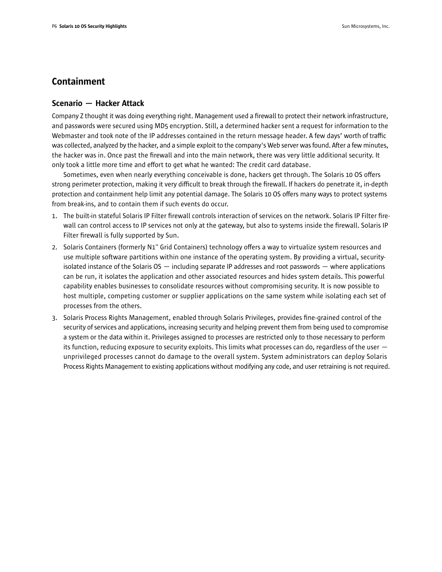## Containment

### Scenario — Hacker Attack

Company Z thought it was doing everything right. Management used a firewall to protect their network infrastructure, and passwords were secured using MD5 encryption. Still, a determined hacker sent a request for information to the Webmaster and took note of the IP addresses contained in the return message header. A few days' worth of traffic was collected, analyzed by the hacker, and a simple exploit to the company's Web server was found. After a few minutes, the hacker was in. Once past the firewall and into the main network, there was very little additional security. It only took a little more time and effort to get what he wanted: The credit card database.

Sometimes, even when nearly everything conceivable is done, hackers get through. The Solaris 10 OS offers strong perimeter protection, making it very difficult to break through the firewall. If hackers do penetrate it, in-depth protection and containment help limit any potential damage. The Solaris 10 OS offers many ways to protect systems from break-ins, and to contain them if such events do occur.

- 1. The built-in stateful Solaris IP Filter firewall controls interaction of services on the network. Solaris IP Filter firewall can control access to IP services not only at the gateway, but also to systems inside the firewall. Solaris IP Filter firewall is fully supported by Sun.
- 2. Solaris Containers (formerly N1™ Grid Containers) technology offers a way to virtualize system resources and use multiple software partitions within one instance of the operating system. By providing a virtual, securityisolated instance of the Solaris  $OS -$  including separate IP addresses and root passwords  $-$  where applications can be run, it isolates the application and other associated resources and hides system details. This powerful capability enables businesses to consolidate resources without compromising security. It is now possible to host multiple, competing customer or supplier applications on the same system while isolating each set of processes from the others.
- 3. Solaris Process Rights Management, enabled through Solaris Privileges, provides fine-grained control of the security of services and applications, increasing security and helping prevent them from being used to compromise a system or the data within it. Privileges assigned to processes are restricted only to those necessary to perform its function, reducing exposure to security exploits. This limits what processes can do, regardless of the user  $$ unprivileged processes cannot do damage to the overall system. System administrators can deploy Solaris Process Rights Management to existing applications without modifying any code, and user retraining is not required.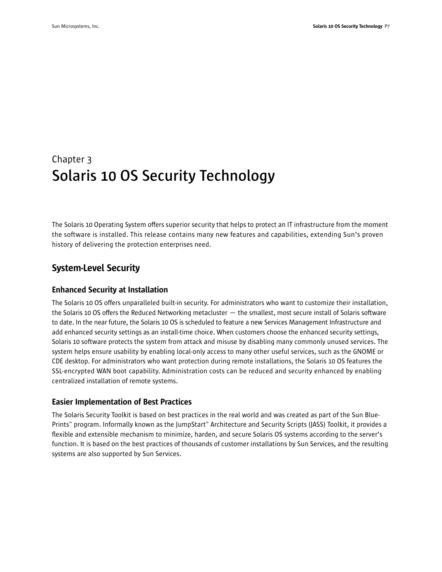## Chapter 3 **Solaris 10 OS Security Technology**

The Solaris 10 Operating System offers superior security that helps to protect an IT infrastructure from the moment the software is installed. This release contains many new features and capabilities, extending Sun's proven history of delivering the protection enterprises need.

## System-Level Security

## Enhanced Security at Installation

The Solaris 10 OS offers unparalleled built-in security. For administrators who want to customize their installation, the Solaris 10 OS offers the Reduced Networking metacluster — the smallest, most secure install of Solaris software to date. In the near future, the Solaris 10 OS is scheduled to feature a new Services Management Infrastructure and add enhanced security settings as an install-time choice. When customers choose the enhanced security settings, Solaris 10 software protects the system from attack and misuse by disabling many commonly unused services. The system helps ensure usability by enabling local-only access to many other useful services, such as the GNOME or CDE desktop. For administrators who want protection during remote installations, the Solaris 10 OS features the SSL-encrypted WAN boot capability. Administration costs can be reduced and security enhanced by enabling centralized installation of remote systems.

## Easier Implementation of Best Practices

The Solaris Security Toolkit is based on best practices in the real world and was created as part of the Sun Blue-Prints™ program. Informally known as the JumpStart™ Architecture and Security Scripts (JASS) Toolkit, it provides a flexible and extensible mechanism to minimize, harden, and secure Solaris OS systems according to the server's function. It is based on the best practices of thousands of customer installations by Sun Services, and the resulting systems are also supported by Sun Services.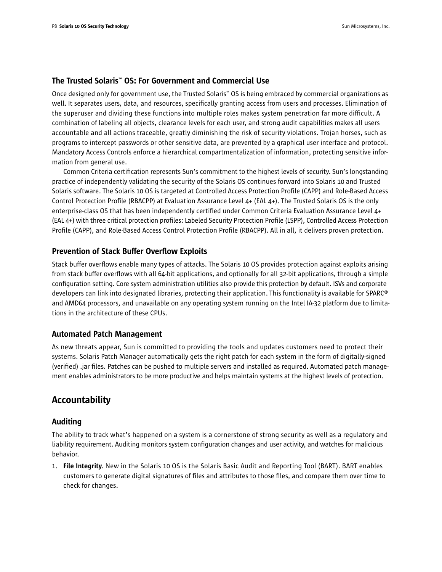### The Trusted Solaris™ OS: For Government and Commercial Use

Once designed only for government use, the Trusted Solaris™ OS is being embraced by commercial organizations as well. It separates users, data, and resources, specifically granting access from users and processes. Elimination of the superuser and dividing these functions into multiple roles makes system penetration far more difficult. A combination of labeling all objects, clearance levels for each user, and strong audit capabilities makes all users accountable and all actions traceable, greatly diminishing the risk of security violations. Trojan horses, such as programs to intercept passwords or other sensitive data, are prevented by a graphical user interface and protocol. Mandatory Access Controls enforce a hierarchical compartmentalization of information, protecting sensitive information from general use.

Common Criteria certification represents Sun's commitment to the highest levels of security. Sun's longstanding practice of independently validating the security of the Solaris OS continues forward into Solaris 10 and Trusted Solaris software. The Solaris 10 OS is targeted at Controlled Access Protection Profile (CAPP) and Role-Based Access Control Protection Profile (RBACPP) at Evaluation Assurance Level 4+ (EAL 4+). The Trusted Solaris OS is the only enterprise-class OS that has been independently certified under Common Criteria Evaluation Assurance Level 4+ (EAL 4+) with three critical protection profiles: Labeled Security Protection Profile (LSPP), Controlled Access Protection Profile (CAPP), and Role-Based Access Control Protection Profile (RBACPP). All in all, it delivers proven protection.

#### Prevention of Stack Buffer Overflow Exploits

Stack buffer overflows enable many types of attacks. The Solaris 10 OS provides protection against exploits arising from stack buffer overflows with all 64-bit applications, and optionally for all 32-bit applications, through a simple configuration setting. Core system administration utilities also provide this protection by default. ISVs and corporate developers can link into designated libraries, protecting their application. This functionality is available for SPARC® and AMD64 processors, and unavailable on any operating system running on the Intel IA-32 platform due to limitations in the architecture of these CPUs.

#### Automated Patch Management

As new threats appear, Sun is committed to providing the tools and updates customers need to protect their systems. Solaris Patch Manager automatically gets the right patch for each system in the form of digitally-signed (verified) .jar files. Patches can be pushed to multiple servers and installed as required. Automated patch management enables administrators to be more productive and helps maintain systems at the highest levels of protection.

## Accountability

### Auditing

The ability to track what's happened on a system is a cornerstone of strong security as well as a regulatory and liability requirement. Auditing monitors system configuration changes and user activity, and watches for malicious behavior.

1. File Integrity. New in the Solaris 10 OS is the Solaris Basic Audit and Reporting Tool (BART). BART enables customers to generate digital signatures of files and attributes to those files, and compare them over time to check for changes.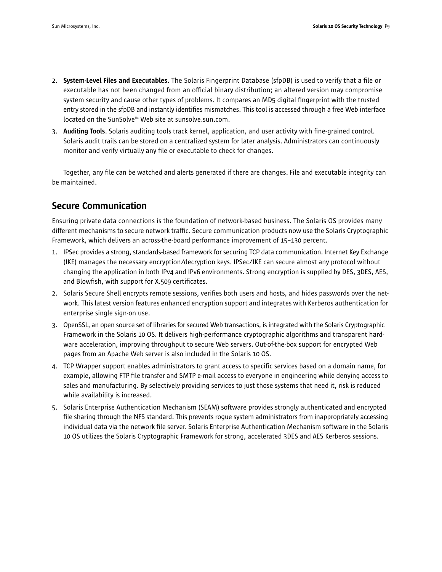- 2. System-Level Files and Executables. The Solaris Fingerprint Database (sfpDB) is used to verify that a file or executable has not been changed from an official binary distribution; an altered version may compromise system security and cause other types of problems. It compares an MD5 digital fingerprint with the trusted entry stored in the sfpDB and instantly identifies mismatches. This tool is accessed through a free Web interface located on the SunSolve<sup>sM</sup> Web site at sunsolve.sun.com.
- 3. Auditing Tools. Solaris auditing tools track kernel, application, and user activity with fine-grained control. Solaris audit trails can be stored on a centralized system for later analysis. Administrators can continuously monitor and verify virtually any file or executable to check for changes.

Together, any file can be watched and alerts generated if there are changes. File and executable integrity can be maintained.

## Secure Communication

Ensuring private data connections is the foundation of network-based business. The Solaris OS provides many different mechanisms to secure network traffic. Secure communication products now use the Solaris Cryptographic Framework, which delivers an across-the-board performance improvement of 15–130 percent.

- 1. IPSec provides a strong, standards-based framework for securing TCP data communication. Internet Key Exchange (IKE) manages the necessary encryption/decryption keys. IPSec/IKE can secure almost any protocol without changing the application in both IPv4 and IPv6 environments. Strong encryption is supplied by DES, 3DES, AES, and Blowfish, with support for X.509 certificates.
- 2. Solaris Secure Shell encrypts remote sessions, verifies both users and hosts, and hides passwords over the network. This latest version features enhanced encryption support and integrates with Kerberos authentication for enterprise single sign-on use.
- 3. OpenSSL, an open source set of libraries for secured Web transactions, is integrated with the Solaris Cryptographic Framework in the Solaris 10 OS. It delivers high-performance cryptographic algorithms and transparent hardware acceleration, improving throughput to secure Web servers. Out-of-the-box support for encrypted Web pages from an Apache Web server is also included in the Solaris 10 OS.
- 4. TCP Wrapper support enables administrators to grant access to specific services based on a domain name, for example, allowing FTP file transfer and SMTP e-mail access to everyone in engineering while denying access to sales and manufacturing. By selectively providing services to just those systems that need it, risk is reduced while availability is increased.
- 5. Solaris Enterprise Authentication Mechanism (SEAM) software provides strongly authenticated and encrypted file sharing through the NFS standard. This prevents rogue system administrators from inappropriately accessing individual data via the network file server. Solaris Enterprise Authentication Mechanism software in the Solaris 10 OS utilizes the Solaris Cryptographic Framework for strong, accelerated 3DES and AES Kerberos sessions.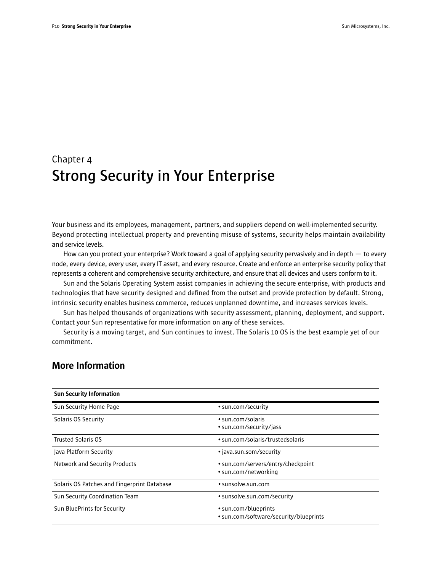## Chapter 4 **Strong Security in Your Enterprise**

Your business and its employees, management, partners, and suppliers depend on well-implemented security. Beyond protecting intellectual property and preventing misuse of systems, security helps maintain availability and service levels.

How can you protect your enterprise? Work toward a goal of applying security pervasively and in depth — to every node, every device, every user, every IT asset, and every resource. Create and enforce an enterprise security policy that represents a coherent and comprehensive security architecture, and ensure that all devices and users conform to it.

Sun and the Solaris Operating System assist companies in achieving the secure enterprise, with products and technologies that have security designed and defined from the outset and provide protection by default. Strong, intrinsic security enables business commerce, reduces unplanned downtime, and increases services levels.

Sun has helped thousands of organizations with security assessment, planning, deployment, and support. Contact your Sun representative for more information on any of these services.

Security is a moving target, and Sun continues to invest. The Solaris 10 OS is the best example yet of our commitment.

| <b>Sun Security Information</b>             |                                                                |
|---------------------------------------------|----------------------------------------------------------------|
| Sun Security Home Page                      | • sun.com/security                                             |
| Solaris OS Security                         | $\cdot$ sun.com/solaris<br>• sun.com/security/jass             |
| <b>Trusted Solaris OS</b>                   | • sun.com/solaris/trustedsolaris                               |
| Java Platform Security                      | • java.sun.som/security                                        |
| Network and Security Products               | • sun.com/servers/entry/checkpoint<br>• sun.com/networking     |
| Solaris OS Patches and Fingerprint Database | $\bullet$ sunsolve.sun.com                                     |
| Sun Security Coordination Team              | • sunsolve.sun.com/security                                    |
| Sun BluePrints for Security                 | • sun.com/blueprints<br>• sun.com/software/security/blueprints |

## More Information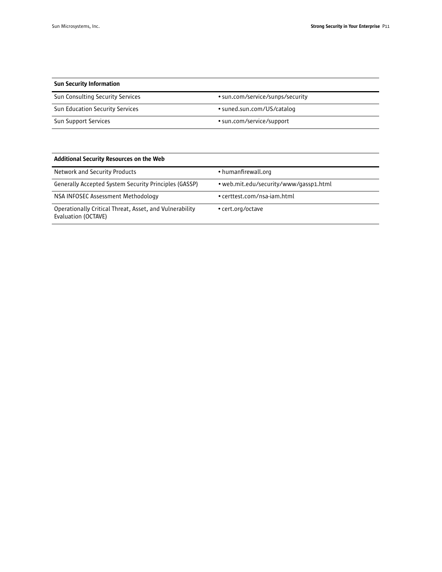| <b>Sun Security Information</b>        |                                  |
|----------------------------------------|----------------------------------|
| Sun Consulting Security Services       | • sun.com/service/sunps/security |
| <b>Sun Education Security Services</b> | • suned.sun.com/US/catalog       |
| Sun Support Services                   | • sun.com/service/support        |

| Additional Security Resources on the Web                                       |                                        |  |
|--------------------------------------------------------------------------------|----------------------------------------|--|
| <b>Network and Security Products</b>                                           | • humanfirewall.org                    |  |
| Generally Accepted System Security Principles (GASSP)                          | • web.mit.edu/security/www/gassp1.html |  |
| NSA INFOSEC Assessment Methodology                                             | • certtest.com/nsa-iam.html            |  |
| Operationally Critical Threat, Asset, and Vulnerability<br>Evaluation (OCTAVE) | • cert.org/octave                      |  |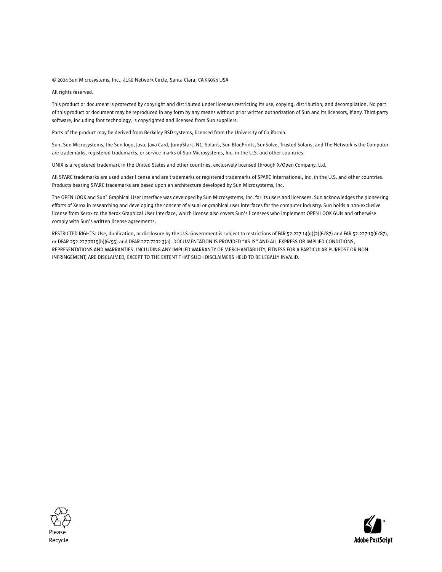#### © 2004 Sun Microsystems, Inc., 4150 Network Circle, Santa Clara, CA 95054 USA

All rights reserved.

This product or document is protected by copyright and distributed under licenses restricting its use, copying, distribution, and decompilation. No part of this product or document may be reproduced in any form by any means without prior written authorization of Sun and its licensors, if any. Third-party software, including font technology, is copyrighted and licensed from Sun suppliers.

Parts of the product may be derived from Berkeley BSD systems, licensed from the University of California.

Sun, Sun Microsystems, the Sun logo, Java, Java Card, JumpStart, N1, Solaris, Sun BluePrints, SunSolve, Trusted Solaris, and The Network is the Computer are trademarks, registered trademarks, or service marks of Sun Microsystems, Inc. in the U.S. and other countries.

UNIX is a registered trademark in the United States and other countries, exclusively licensed through X/Open Company, Ltd.

All SPARC trademarks are used under license and are trademarks or registered trademarks of SPARC International, Inc. in the U.S. and other countries. Products bearing SPARC trademarks are based upon an architecture developed by Sun Microsystems, Inc.

The OPEN LOOK and Sun™ Graphical User Interface was developed by Sun Microsystems, Inc. for its users and licensees. Sun acknowledges the pioneering efforts of Xerox in researching and developing the concept of visual or graphical user interfaces for the computer industry. Sun holds a non-exclusive license from Xerox to the Xerox Graphical User Interface, which license also covers Sun's licensees who implement OPEN LOOK GUIs and otherwise comply with Sun's written license agreements.

RESTRICTED RIGHTS: Use, duplication, or disclosure by the U.S. Government is subject to restrictions of FAR 52.227-14(g)(2)(6/87) and FAR 52.227-19(6/87), or DFAR 252.227-7015(b)(6/95) and DFAR 227.7202-3(a). DOCUMENTATION IS PROVIDED "AS IS" AND ALL EXPRESS OR IMPLIED CONDITIONS, REPRESENTATIONS AND WARRANTIES, INCLUDING ANY IMPLIED WARRANTY OF MERCHANTABILITY, FITNESS FOR A PARTICULAR PURPOSE OR NON-INFRINGEMENT, ARE DISCLAIMED, EXCEPT TO THE EXTENT THAT SUCH DISCLAIMERS HELD TO BE LEGALLY INVALID.